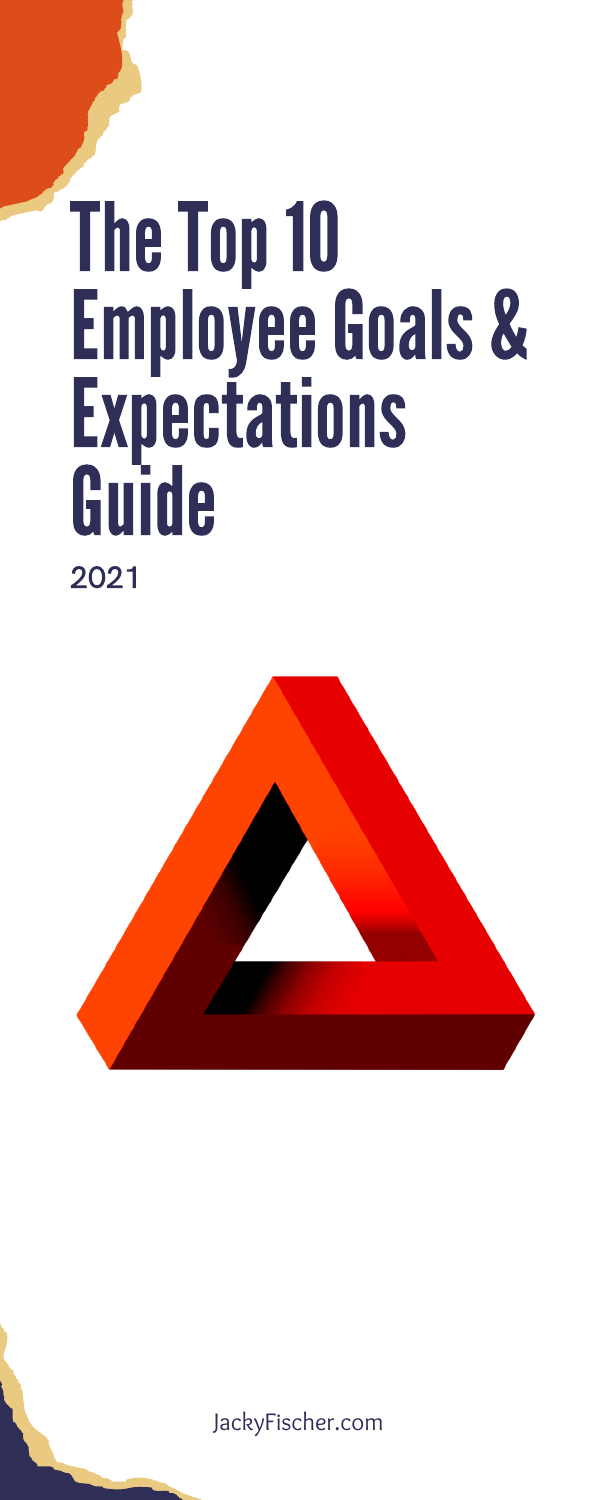JackyFischer.com

# The Top 10 Employee Goals & Expectations Guide 2021